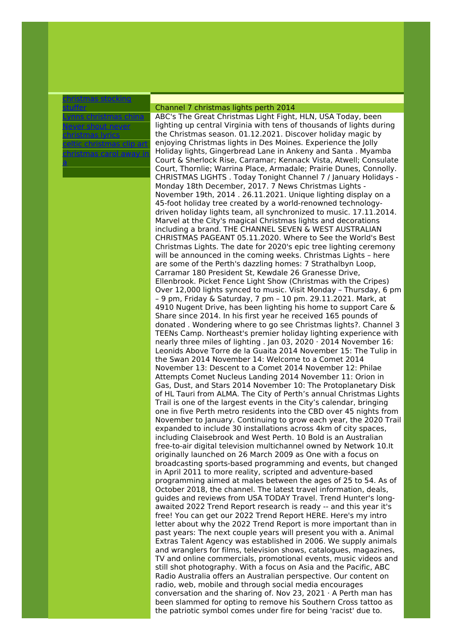## [christmas](http://foto-ms.pl/detail/news/558804/chrismas/) stocking stuffer

Lynns [christmas](http://foto-ms.pl/detail/news/980858/chrismas/) china Never shout never [christmas](http://foto-ms.pl/detail/news/623034/chrismas/) lyrics celtic [christmas](http://foto-ms.pl/detail/news/014180/chrismas/) clip art [christmas](http://foto-ms.pl/detail/news/300004/chrismas/) carol away in a

## Channel 7 christmas lights perth 2014

ABC's The Great Christmas Light Fight, HLN, USA Today, been lighting up central Virginia with tens of thousands of lights during the Christmas season. 01.12.2021. Discover holiday magic by enjoying Christmas lights in Des Moines. Experience the Jolly Holiday lights, Gingerbread Lane in Ankeny and Santa . Myamba Court & Sherlock Rise, Carramar; Kennack Vista, Atwell; Consulate Court, Thornlie; Warrina Place, Armadale; Prairie Dunes, Connolly. CHRISTMAS LIGHTS . Today Tonight Channel 7 / January Holidays - Monday 18th December, 2017. 7 News Christmas Lights - November 19th, 2014 . 26.11.2021. Unique lighting display on a 45-foot holiday tree created by a world-renowned technologydriven holiday lights team, all synchronized to music. 17.11.2014. Marvel at the City's magical Christmas lights and decorations including a brand. THE CHANNEL SEVEN & WEST AUSTRALIAN CHRISTMAS PAGEANT 05.11.2020. Where to See the World's Best Christmas Lights. The date for 2020's epic tree lighting ceremony will be announced in the coming weeks. Christmas Lights – here are some of the Perth's dazzling homes: 7 Strathalbyn Loop, Carramar 180 President St, Kewdale 26 Granesse Drive, Ellenbrook. Picket Fence Light Show (Christmas with the Cripes) Over 12,000 lights synced to music. Visit Monday – Thursday, 6 pm – 9 pm, Friday & Saturday, 7 pm – 10 pm. 29.11.2021. Mark, at 4910 Nugent Drive, has been lighting his home to support Care & Share since 2014. In his first year he received 165 pounds of donated . Wondering where to go see Christmas lights?. Channel 3 TEENs Camp. Northeast's premier holiday lighting experience with nearly three miles of lighting . Jan 03, 2020 · 2014 November 16: Leonids Above Torre de la Guaita 2014 November 15: The Tulip in the Swan 2014 November 14: Welcome to a Comet 2014 November 13: Descent to a Comet 2014 November 12: Philae Attempts Comet Nucleus Landing 2014 November 11: Orion in Gas, Dust, and Stars 2014 November 10: The Protoplanetary Disk of HL Tauri from ALMA. The City of Perth's annual Christmas Lights Trail is one of the largest events in the City's calendar, bringing one in five Perth metro residents into the CBD over 45 nights from November to January. Continuing to grow each year, the 2020 Trail expanded to include 30 installations across 4km of city spaces, including Claisebrook and West Perth. 10 Bold is an Australian free-to-air digital television multichannel owned by Network 10.It originally launched on 26 March 2009 as One with a focus on broadcasting sports-based programming and events, but changed in April 2011 to more reality, scripted and adventure-based programming aimed at males between the ages of 25 to 54. As of October 2018, the channel. The latest travel information, deals, guides and reviews from USA TODAY Travel. Trend Hunter's longawaited 2022 Trend Report research is ready -- and this year it's free! You can get our 2022 Trend Report HERE. Here's my intro letter about why the 2022 Trend Report is more important than in past years: The next couple years will present you with a. Animal Extras Talent Agency was established in 2006. We supply animals and wranglers for films, television shows, catalogues, magazines, TV and online commercials, promotional events, music videos and still shot photography. With a focus on Asia and the Pacific, ABC Radio Australia offers an Australian perspective. Our content on radio, web, mobile and through social media encourages conversation and the sharing of. Nov 23, 2021  $\cdot$  A Perth man has been slammed for opting to remove his Southern Cross tattoo as the patriotic symbol comes under fire for being 'racist' due to.